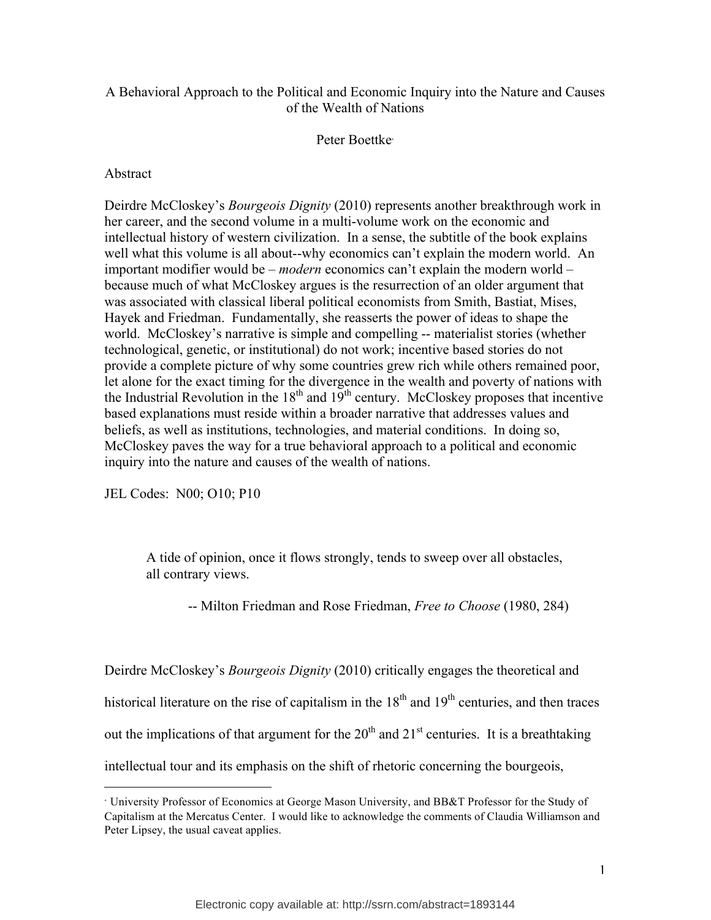## A Behavioral Approach to the Political and Economic Inquiry into the Nature and Causes of the Wealth of Nations

Peter Boettke<sup>∗</sup>

## Abstract

Deirdre McCloskey's *Bourgeois Dignity* (2010) represents another breakthrough work in her career, and the second volume in a multi-volume work on the economic and intellectual history of western civilization. In a sense, the subtitle of the book explains well what this volume is all about--why economics can't explain the modern world. An important modifier would be – *modern* economics can't explain the modern world – because much of what McCloskey argues is the resurrection of an older argument that was associated with classical liberal political economists from Smith, Bastiat, Mises, Hayek and Friedman. Fundamentally, she reasserts the power of ideas to shape the world. McCloskey's narrative is simple and compelling -- materialist stories (whether technological, genetic, or institutional) do not work; incentive based stories do not provide a complete picture of why some countries grew rich while others remained poor, let alone for the exact timing for the divergence in the wealth and poverty of nations with the Industrial Revolution in the  $18<sup>th</sup>$  and  $19<sup>th</sup>$  century. McCloskey proposes that incentive based explanations must reside within a broader narrative that addresses values and beliefs, as well as institutions, technologies, and material conditions. In doing so, McCloskey paves the way for a true behavioral approach to a political and economic inquiry into the nature and causes of the wealth of nations.

JEL Codes: N00; O10; P10

 $\overline{a}$ 

A tide of opinion, once it flows strongly, tends to sweep over all obstacles, all contrary views.

-- Milton Friedman and Rose Friedman, *Free to Choose* (1980, 284)

Deirdre McCloskey's *Bourgeois Dignity* (2010) critically engages the theoretical and historical literature on the rise of capitalism in the  $18<sup>th</sup>$  and  $19<sup>th</sup>$  centuries, and then traces out the implications of that argument for the  $20<sup>th</sup>$  and  $21<sup>st</sup>$  centuries. It is a breathtaking intellectual tour and its emphasis on the shift of rhetoric concerning the bourgeois,

<sup>∗</sup> University Professor of Economics at George Mason University, and BB&T Professor for the Study of Capitalism at the Mercatus Center. I would like to acknowledge the comments of Claudia Williamson and Peter Lipsey, the usual caveat applies.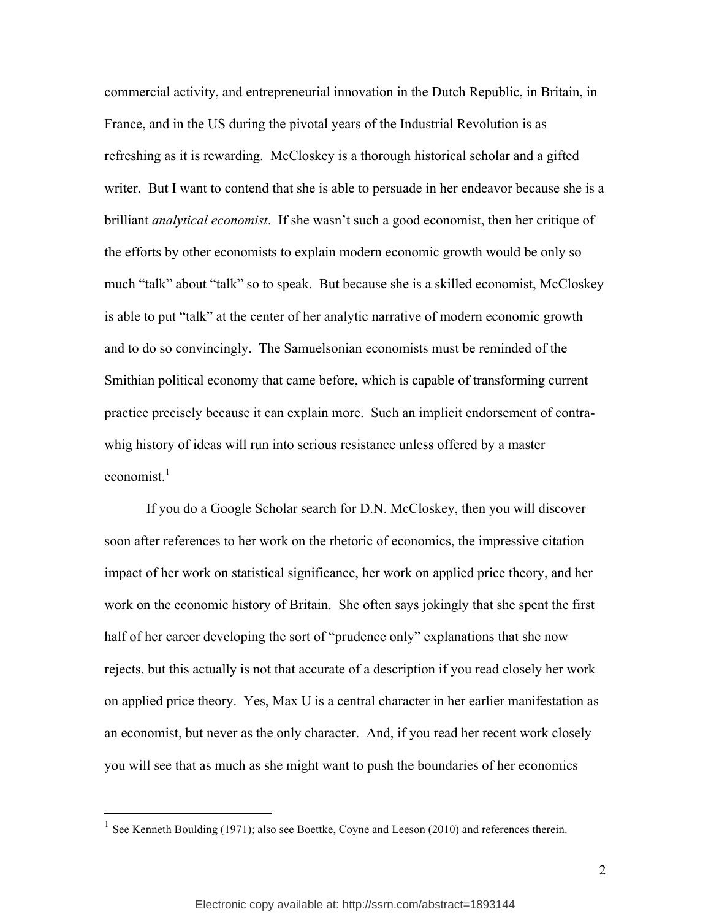commercial activity, and entrepreneurial innovation in the Dutch Republic, in Britain, in France, and in the US during the pivotal years of the Industrial Revolution is as refreshing as it is rewarding. McCloskey is a thorough historical scholar and a gifted writer. But I want to contend that she is able to persuade in her endeavor because she is a brilliant *analytical economist*. If she wasn't such a good economist, then her critique of the efforts by other economists to explain modern economic growth would be only so much "talk" about "talk" so to speak. But because she is a skilled economist, McCloskey is able to put "talk" at the center of her analytic narrative of modern economic growth and to do so convincingly. The Samuelsonian economists must be reminded of the Smithian political economy that came before, which is capable of transforming current practice precisely because it can explain more. Such an implicit endorsement of contrawhig history of ideas will run into serious resistance unless offered by a master economist $<sup>1</sup>$ </sup>

If you do a Google Scholar search for D.N. McCloskey, then you will discover soon after references to her work on the rhetoric of economics, the impressive citation impact of her work on statistical significance, her work on applied price theory, and her work on the economic history of Britain. She often says jokingly that she spent the first half of her career developing the sort of "prudence only" explanations that she now rejects, but this actually is not that accurate of a description if you read closely her work on applied price theory. Yes, Max U is a central character in her earlier manifestation as an economist, but never as the only character. And, if you read her recent work closely you will see that as much as she might want to push the boundaries of her economics

<sup>&</sup>lt;sup>1</sup> See Kenneth Boulding (1971); also see Boettke, Coyne and Leeson (2010) and references therein.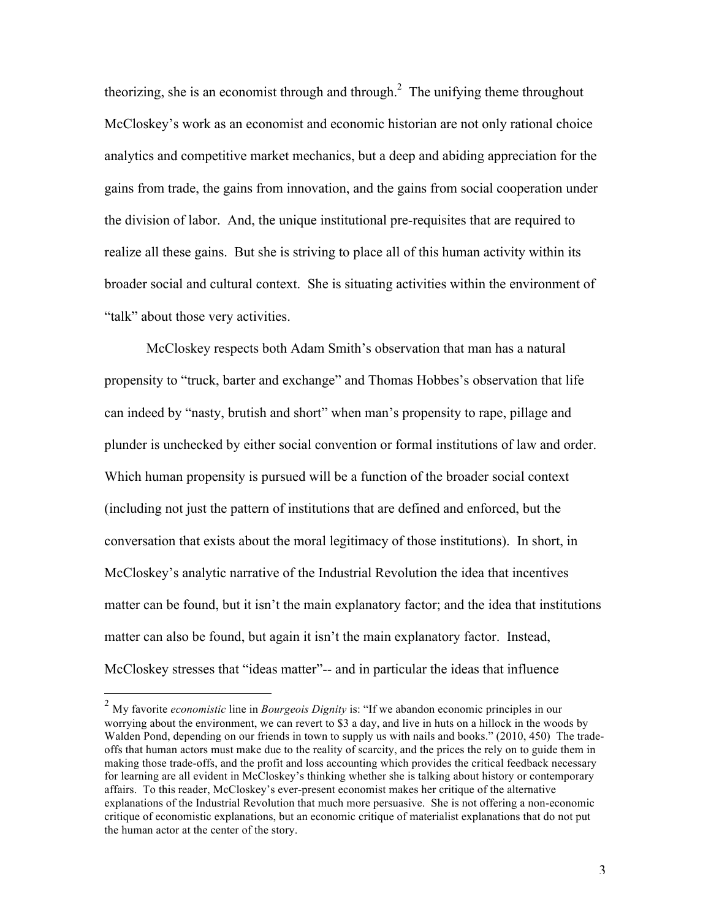theorizing, she is an economist through and through.<sup>2</sup> The unifying theme throughout McCloskey's work as an economist and economic historian are not only rational choice analytics and competitive market mechanics, but a deep and abiding appreciation for the gains from trade, the gains from innovation, and the gains from social cooperation under the division of labor. And, the unique institutional pre-requisites that are required to realize all these gains. But she is striving to place all of this human activity within its broader social and cultural context. She is situating activities within the environment of "talk" about those very activities.

McCloskey respects both Adam Smith's observation that man has a natural propensity to "truck, barter and exchange" and Thomas Hobbes's observation that life can indeed by "nasty, brutish and short" when man's propensity to rape, pillage and plunder is unchecked by either social convention or formal institutions of law and order. Which human propensity is pursued will be a function of the broader social context (including not just the pattern of institutions that are defined and enforced, but the conversation that exists about the moral legitimacy of those institutions). In short, in McCloskey's analytic narrative of the Industrial Revolution the idea that incentives matter can be found, but it isn't the main explanatory factor; and the idea that institutions matter can also be found, but again it isn't the main explanatory factor. Instead, McCloskey stresses that "ideas matter"-- and in particular the ideas that influence

 <sup>2</sup> My favorite *economistic* line in *Bourgeois Dignity* is: "If we abandon economic principles in our worrying about the environment, we can revert to \$3 a day, and live in huts on a hillock in the woods by Walden Pond, depending on our friends in town to supply us with nails and books." (2010, 450) The tradeoffs that human actors must make due to the reality of scarcity, and the prices the rely on to guide them in making those trade-offs, and the profit and loss accounting which provides the critical feedback necessary for learning are all evident in McCloskey's thinking whether she is talking about history or contemporary affairs. To this reader, McCloskey's ever-present economist makes her critique of the alternative explanations of the Industrial Revolution that much more persuasive. She is not offering a non-economic critique of economistic explanations, but an economic critique of materialist explanations that do not put the human actor at the center of the story.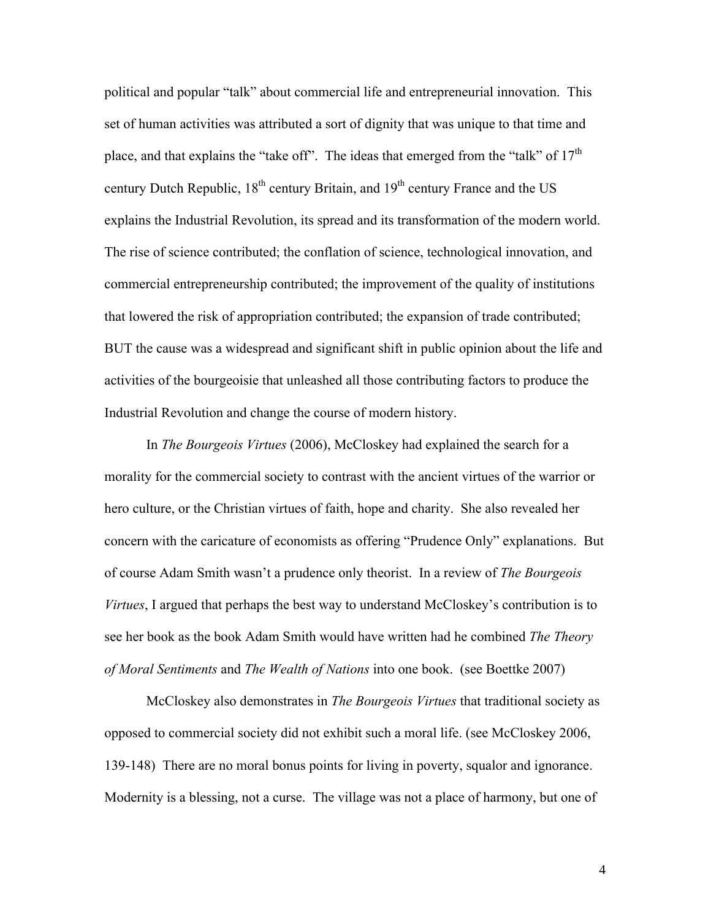political and popular "talk" about commercial life and entrepreneurial innovation. This set of human activities was attributed a sort of dignity that was unique to that time and place, and that explains the "take off". The ideas that emerged from the "talk" of 17<sup>th</sup> century Dutch Republic,  $18<sup>th</sup>$  century Britain, and  $19<sup>th</sup>$  century France and the US explains the Industrial Revolution, its spread and its transformation of the modern world. The rise of science contributed; the conflation of science, technological innovation, and commercial entrepreneurship contributed; the improvement of the quality of institutions that lowered the risk of appropriation contributed; the expansion of trade contributed; BUT the cause was a widespread and significant shift in public opinion about the life and activities of the bourgeoisie that unleashed all those contributing factors to produce the Industrial Revolution and change the course of modern history.

In *The Bourgeois Virtues* (2006), McCloskey had explained the search for a morality for the commercial society to contrast with the ancient virtues of the warrior or hero culture, or the Christian virtues of faith, hope and charity. She also revealed her concern with the caricature of economists as offering "Prudence Only" explanations. But of course Adam Smith wasn't a prudence only theorist. In a review of *The Bourgeois Virtues*, I argued that perhaps the best way to understand McCloskey's contribution is to see her book as the book Adam Smith would have written had he combined *The Theory of Moral Sentiments* and *The Wealth of Nations* into one book. (see Boettke 2007)

McCloskey also demonstrates in *The Bourgeois Virtues* that traditional society as opposed to commercial society did not exhibit such a moral life. (see McCloskey 2006, 139-148) There are no moral bonus points for living in poverty, squalor and ignorance. Modernity is a blessing, not a curse. The village was not a place of harmony, but one of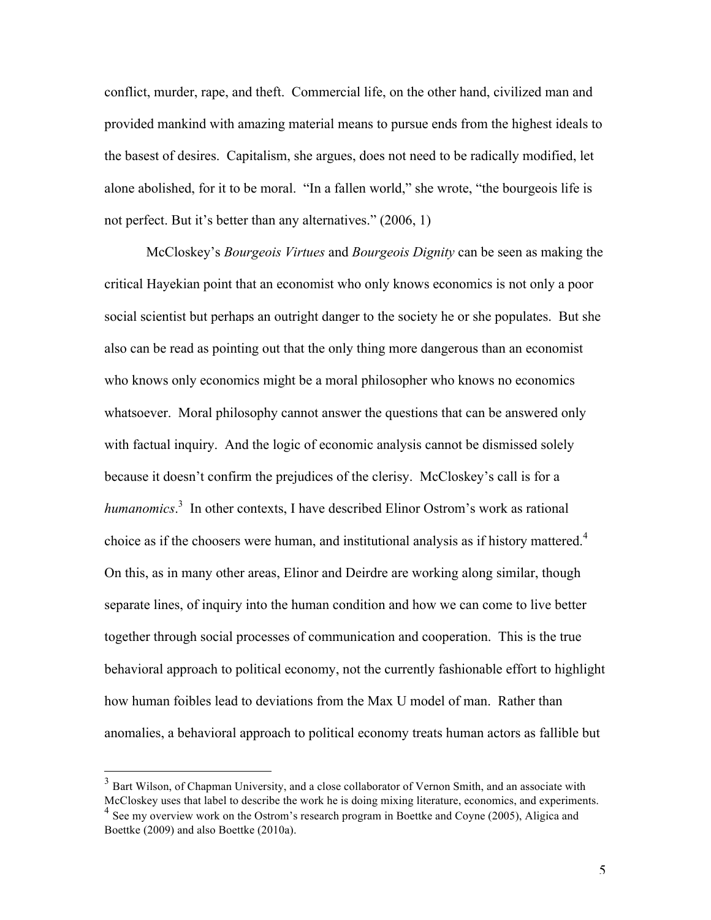conflict, murder, rape, and theft. Commercial life, on the other hand, civilized man and provided mankind with amazing material means to pursue ends from the highest ideals to the basest of desires. Capitalism, she argues, does not need to be radically modified, let alone abolished, for it to be moral. "In a fallen world," she wrote, "the bourgeois life is not perfect. But it's better than any alternatives." (2006, 1)

McCloskey's *Bourgeois Virtues* and *Bourgeois Dignity* can be seen as making the critical Hayekian point that an economist who only knows economics is not only a poor social scientist but perhaps an outright danger to the society he or she populates. But she also can be read as pointing out that the only thing more dangerous than an economist who knows only economics might be a moral philosopher who knows no economics whatsoever. Moral philosophy cannot answer the questions that can be answered only with factual inquiry. And the logic of economic analysis cannot be dismissed solely because it doesn't confirm the prejudices of the clerisy. McCloskey's call is for a *humanomics*. 3 In other contexts, I have described Elinor Ostrom's work as rational choice as if the choosers were human, and institutional analysis as if history mattered.<sup>4</sup> On this, as in many other areas, Elinor and Deirdre are working along similar, though separate lines, of inquiry into the human condition and how we can come to live better together through social processes of communication and cooperation. This is the true behavioral approach to political economy, not the currently fashionable effort to highlight how human foibles lead to deviations from the Max U model of man. Rather than anomalies, a behavioral approach to political economy treats human actors as fallible but

 $3$  Bart Wilson, of Chapman University, and a close collaborator of Vernon Smith, and an associate with McCloskey uses that label to describe the work he is doing mixing literature, economics, and experiments.

<sup>&</sup>lt;sup>4</sup> See my overview work on the Ostrom's research program in Boettke and Coyne (2005), Aligica and Boettke (2009) and also Boettke (2010a).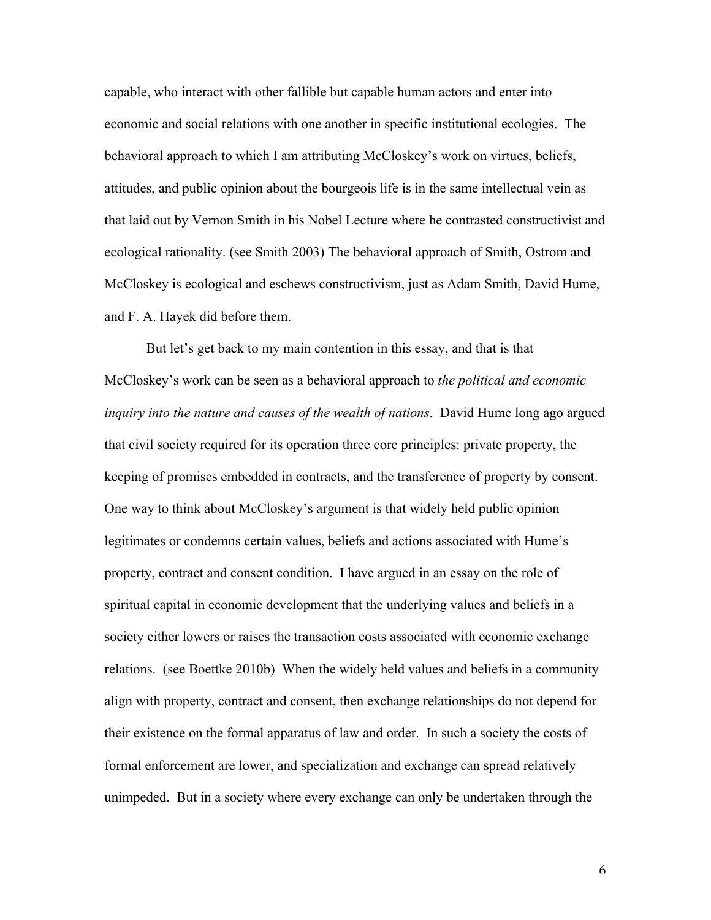capable, who interact with other fallible but capable human actors and enter into economic and social relations with one another in specific institutional ecologies. The behavioral approach to which I am attributing McCloskey's work on virtues, beliefs, attitudes, and public opinion about the bourgeois life is in the same intellectual vein as that laid out by Vernon Smith in his Nobel Lecture where he contrasted constructivist and ecological rationality. (see Smith 2003) The behavioral approach of Smith, Ostrom and McCloskey is ecological and eschews constructivism, just as Adam Smith, David Hume, and F. A. Hayek did before them.

But let's get back to my main contention in this essay, and that is that McCloskey's work can be seen as a behavioral approach to *the political and economic inquiry into the nature and causes of the wealth of nations*. David Hume long ago argued that civil society required for its operation three core principles: private property, the keeping of promises embedded in contracts, and the transference of property by consent. One way to think about McCloskey's argument is that widely held public opinion legitimates or condemns certain values, beliefs and actions associated with Hume's property, contract and consent condition. I have argued in an essay on the role of spiritual capital in economic development that the underlying values and beliefs in a society either lowers or raises the transaction costs associated with economic exchange relations. (see Boettke 2010b) When the widely held values and beliefs in a community align with property, contract and consent, then exchange relationships do not depend for their existence on the formal apparatus of law and order. In such a society the costs of formal enforcement are lower, and specialization and exchange can spread relatively unimpeded. But in a society where every exchange can only be undertaken through the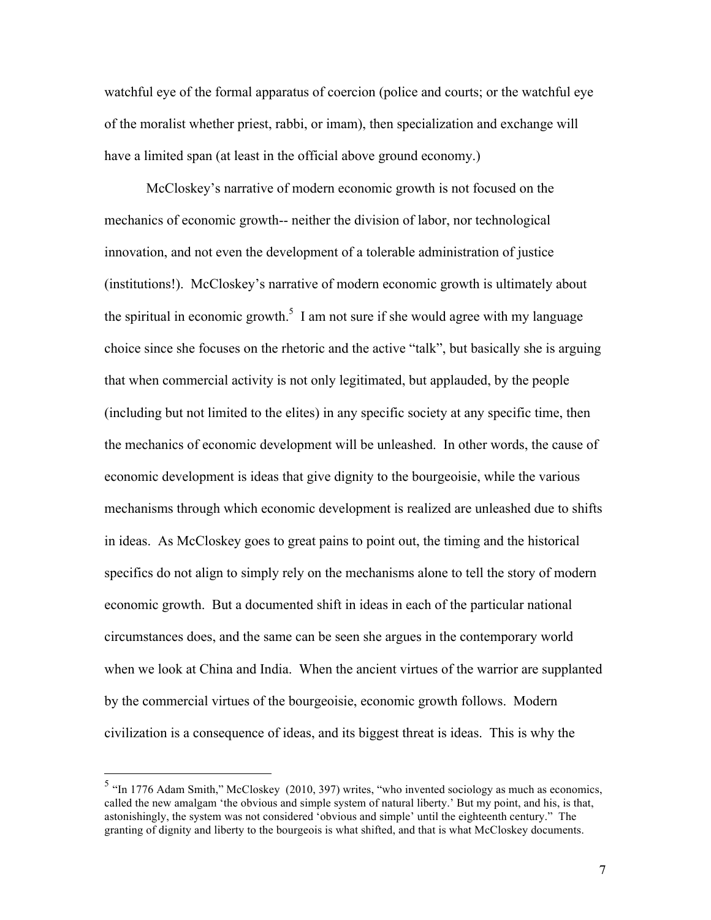watchful eye of the formal apparatus of coercion (police and courts; or the watchful eye of the moralist whether priest, rabbi, or imam), then specialization and exchange will have a limited span (at least in the official above ground economy.)

McCloskey's narrative of modern economic growth is not focused on the mechanics of economic growth-- neither the division of labor, nor technological innovation, and not even the development of a tolerable administration of justice (institutions!). McCloskey's narrative of modern economic growth is ultimately about the spiritual in economic growth.<sup>5</sup> I am not sure if she would agree with my language choice since she focuses on the rhetoric and the active "talk", but basically she is arguing that when commercial activity is not only legitimated, but applauded, by the people (including but not limited to the elites) in any specific society at any specific time, then the mechanics of economic development will be unleashed. In other words, the cause of economic development is ideas that give dignity to the bourgeoisie, while the various mechanisms through which economic development is realized are unleashed due to shifts in ideas. As McCloskey goes to great pains to point out, the timing and the historical specifics do not align to simply rely on the mechanisms alone to tell the story of modern economic growth. But a documented shift in ideas in each of the particular national circumstances does, and the same can be seen she argues in the contemporary world when we look at China and India. When the ancient virtues of the warrior are supplanted by the commercial virtues of the bourgeoisie, economic growth follows. Modern civilization is a consequence of ideas, and its biggest threat is ideas. This is why the

<sup>&</sup>lt;sup>5</sup> "In 1776 Adam Smith," McCloskey (2010, 397) writes, "who invented sociology as much as economics, called the new amalgam 'the obvious and simple system of natural liberty.' But my point, and his, is that, astonishingly, the system was not considered 'obvious and simple' until the eighteenth century." The granting of dignity and liberty to the bourgeois is what shifted, and that is what McCloskey documents.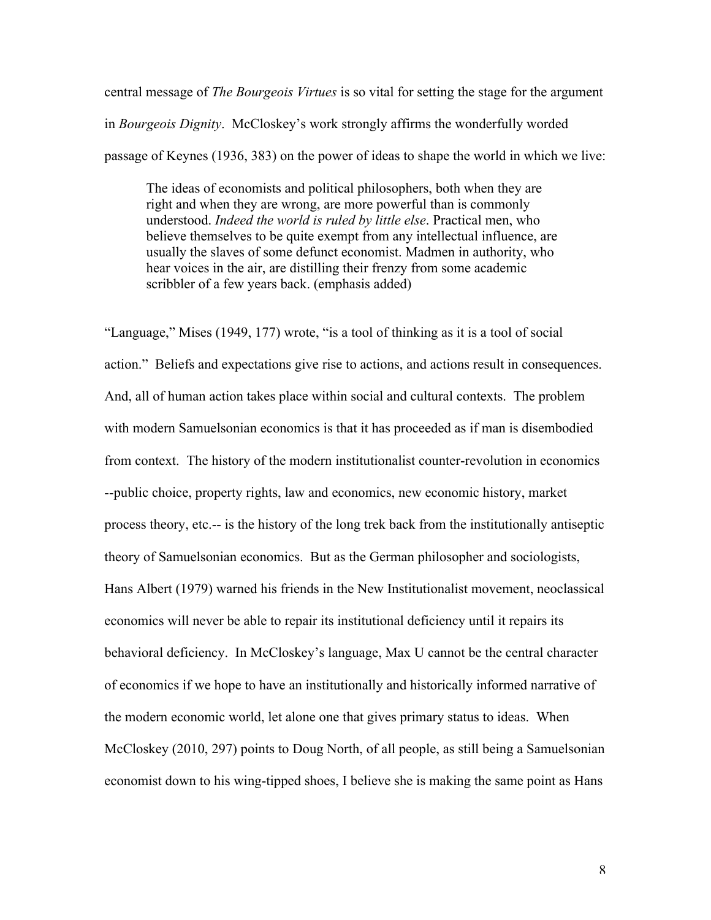central message of *The Bourgeois Virtues* is so vital for setting the stage for the argument in *Bourgeois Dignity*. McCloskey's work strongly affirms the wonderfully worded passage of Keynes (1936, 383) on the power of ideas to shape the world in which we live:

The ideas of economists and political philosophers, both when they are right and when they are wrong, are more powerful than is commonly understood. *Indeed the world is ruled by little else*. Practical men, who believe themselves to be quite exempt from any intellectual influence, are usually the slaves of some defunct economist. Madmen in authority, who hear voices in the air, are distilling their frenzy from some academic scribbler of a few years back. (emphasis added)

"Language," Mises (1949, 177) wrote, "is a tool of thinking as it is a tool of social action." Beliefs and expectations give rise to actions, and actions result in consequences. And, all of human action takes place within social and cultural contexts. The problem with modern Samuelsonian economics is that it has proceeded as if man is disembodied from context. The history of the modern institutionalist counter-revolution in economics --public choice, property rights, law and economics, new economic history, market process theory, etc.-- is the history of the long trek back from the institutionally antiseptic theory of Samuelsonian economics. But as the German philosopher and sociologists, Hans Albert (1979) warned his friends in the New Institutionalist movement, neoclassical economics will never be able to repair its institutional deficiency until it repairs its behavioral deficiency. In McCloskey's language, Max U cannot be the central character of economics if we hope to have an institutionally and historically informed narrative of the modern economic world, let alone one that gives primary status to ideas. When McCloskey (2010, 297) points to Doug North, of all people, as still being a Samuelsonian economist down to his wing-tipped shoes, I believe she is making the same point as Hans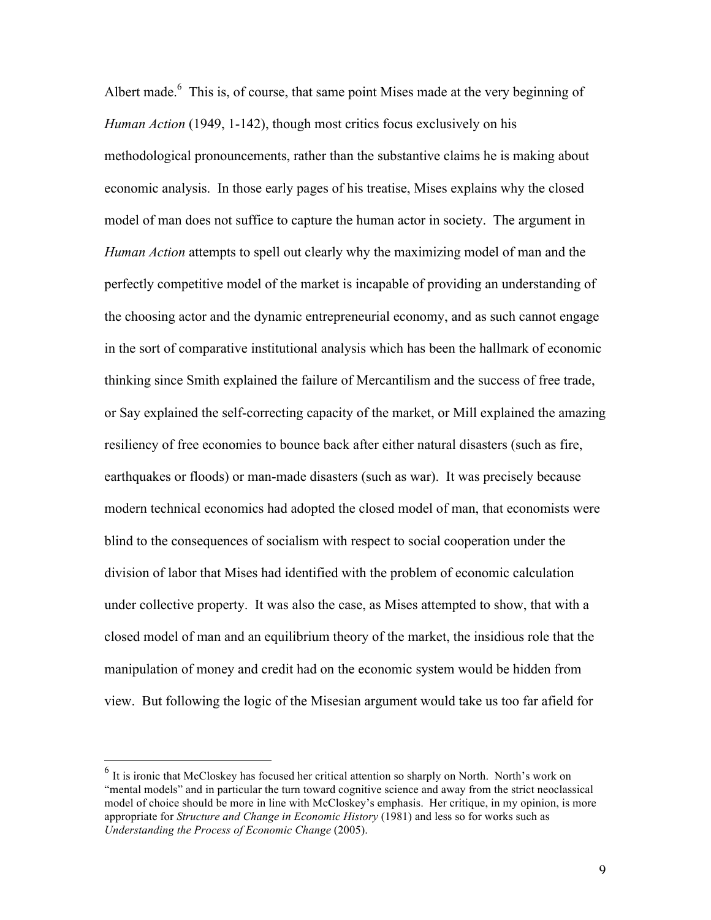Albert made.<sup>6</sup> This is, of course, that same point Mises made at the very beginning of *Human Action* (1949, 1-142), though most critics focus exclusively on his methodological pronouncements, rather than the substantive claims he is making about economic analysis. In those early pages of his treatise, Mises explains why the closed model of man does not suffice to capture the human actor in society. The argument in *Human Action* attempts to spell out clearly why the maximizing model of man and the perfectly competitive model of the market is incapable of providing an understanding of the choosing actor and the dynamic entrepreneurial economy, and as such cannot engage in the sort of comparative institutional analysis which has been the hallmark of economic thinking since Smith explained the failure of Mercantilism and the success of free trade, or Say explained the self-correcting capacity of the market, or Mill explained the amazing resiliency of free economies to bounce back after either natural disasters (such as fire, earthquakes or floods) or man-made disasters (such as war). It was precisely because modern technical economics had adopted the closed model of man, that economists were blind to the consequences of socialism with respect to social cooperation under the division of labor that Mises had identified with the problem of economic calculation under collective property. It was also the case, as Mises attempted to show, that with a closed model of man and an equilibrium theory of the market, the insidious role that the manipulation of money and credit had on the economic system would be hidden from view. But following the logic of the Misesian argument would take us too far afield for

 $<sup>6</sup>$  It is ironic that McCloskey has focused her critical attention so sharply on North. North's work on</sup> "mental models" and in particular the turn toward cognitive science and away from the strict neoclassical model of choice should be more in line with McCloskey's emphasis. Her critique, in my opinion, is more appropriate for *Structure and Change in Economic History* (1981) and less so for works such as *Understanding the Process of Economic Change* (2005).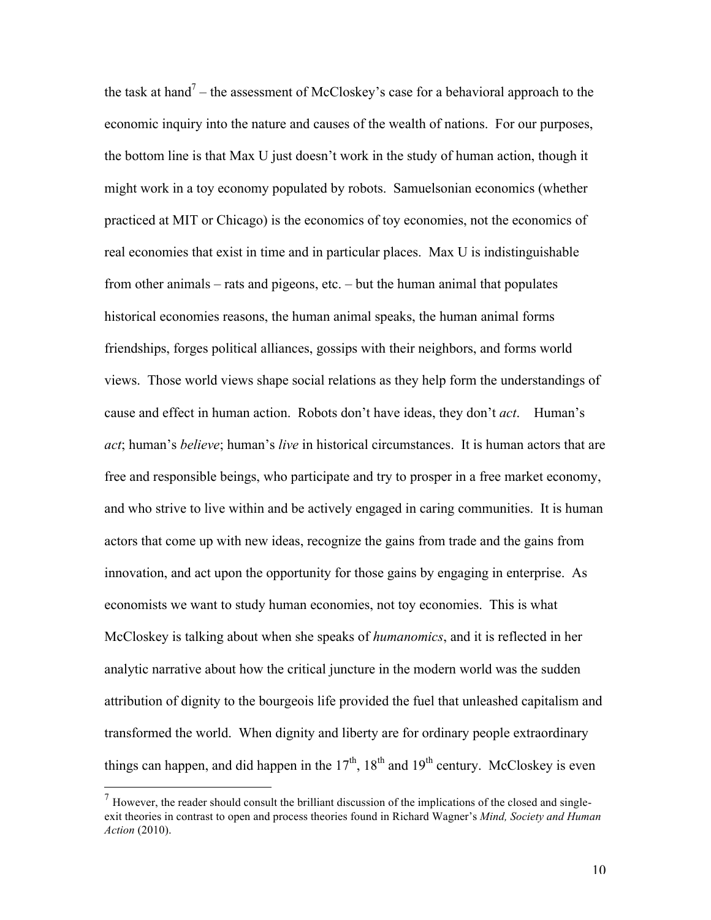the task at hand<sup>7</sup> – the assessment of McCloskey's case for a behavioral approach to the economic inquiry into the nature and causes of the wealth of nations. For our purposes, the bottom line is that Max U just doesn't work in the study of human action, though it might work in a toy economy populated by robots. Samuelsonian economics (whether practiced at MIT or Chicago) is the economics of toy economies, not the economics of real economies that exist in time and in particular places. Max U is indistinguishable from other animals – rats and pigeons, etc. – but the human animal that populates historical economies reasons, the human animal speaks, the human animal forms friendships, forges political alliances, gossips with their neighbors, and forms world views. Those world views shape social relations as they help form the understandings of cause and effect in human action. Robots don't have ideas, they don't *act*. Human's *act*; human's *believe*; human's *live* in historical circumstances. It is human actors that are free and responsible beings, who participate and try to prosper in a free market economy, and who strive to live within and be actively engaged in caring communities. It is human actors that come up with new ideas, recognize the gains from trade and the gains from innovation, and act upon the opportunity for those gains by engaging in enterprise. As economists we want to study human economies, not toy economies. This is what McCloskey is talking about when she speaks of *humanomics*, and it is reflected in her analytic narrative about how the critical juncture in the modern world was the sudden attribution of dignity to the bourgeois life provided the fuel that unleashed capitalism and transformed the world. When dignity and liberty are for ordinary people extraordinary things can happen, and did happen in the  $17<sup>th</sup>$ ,  $18<sup>th</sup>$  and  $19<sup>th</sup>$  century. McCloskey is even

 $<sup>7</sup>$  However, the reader should consult the brilliant discussion of the implications of the closed and single-</sup> exit theories in contrast to open and process theories found in Richard Wagner's *Mind, Society and Human Action* (2010).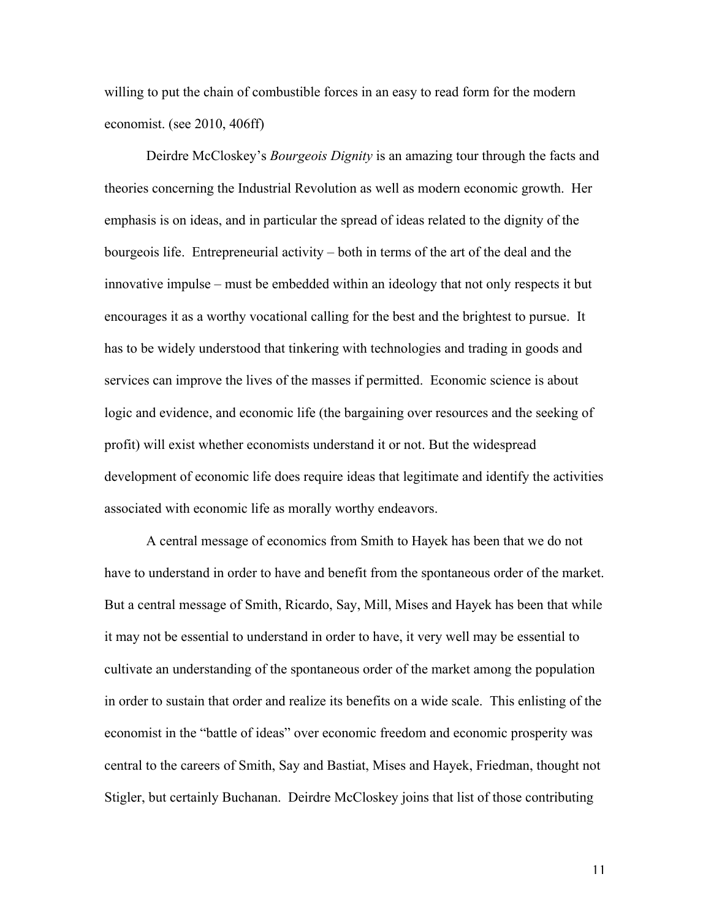willing to put the chain of combustible forces in an easy to read form for the modern economist. (see 2010, 406ff)

Deirdre McCloskey's *Bourgeois Dignity* is an amazing tour through the facts and theories concerning the Industrial Revolution as well as modern economic growth. Her emphasis is on ideas, and in particular the spread of ideas related to the dignity of the bourgeois life. Entrepreneurial activity – both in terms of the art of the deal and the innovative impulse – must be embedded within an ideology that not only respects it but encourages it as a worthy vocational calling for the best and the brightest to pursue. It has to be widely understood that tinkering with technologies and trading in goods and services can improve the lives of the masses if permitted. Economic science is about logic and evidence, and economic life (the bargaining over resources and the seeking of profit) will exist whether economists understand it or not. But the widespread development of economic life does require ideas that legitimate and identify the activities associated with economic life as morally worthy endeavors.

A central message of economics from Smith to Hayek has been that we do not have to understand in order to have and benefit from the spontaneous order of the market. But a central message of Smith, Ricardo, Say, Mill, Mises and Hayek has been that while it may not be essential to understand in order to have, it very well may be essential to cultivate an understanding of the spontaneous order of the market among the population in order to sustain that order and realize its benefits on a wide scale. This enlisting of the economist in the "battle of ideas" over economic freedom and economic prosperity was central to the careers of Smith, Say and Bastiat, Mises and Hayek, Friedman, thought not Stigler, but certainly Buchanan. Deirdre McCloskey joins that list of those contributing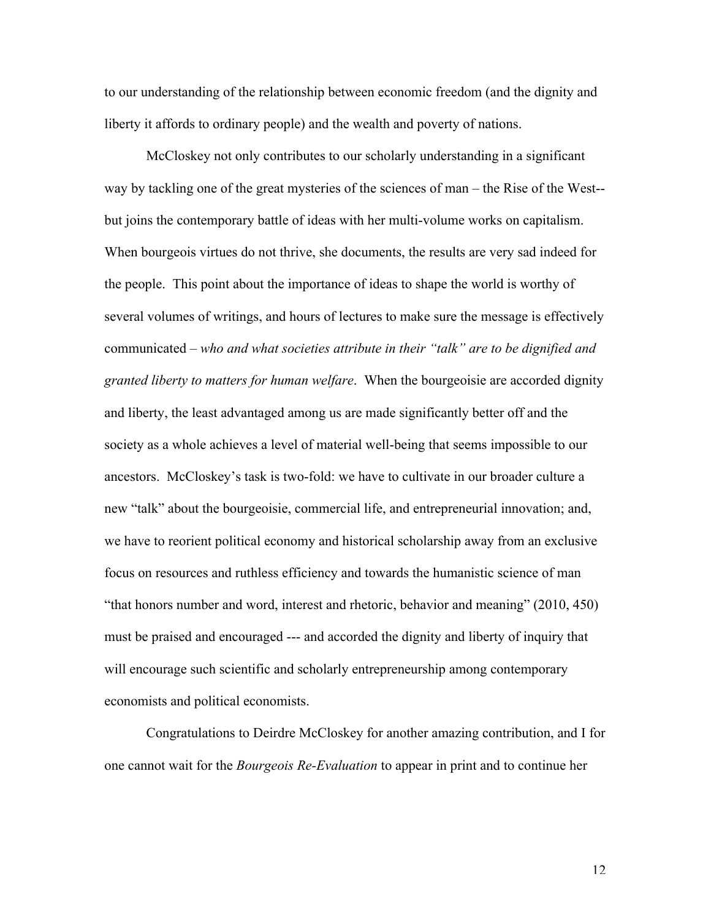to our understanding of the relationship between economic freedom (and the dignity and liberty it affords to ordinary people) and the wealth and poverty of nations.

McCloskey not only contributes to our scholarly understanding in a significant way by tackling one of the great mysteries of the sciences of man – the Rise of the West- but joins the contemporary battle of ideas with her multi-volume works on capitalism. When bourgeois virtues do not thrive, she documents, the results are very sad indeed for the people. This point about the importance of ideas to shape the world is worthy of several volumes of writings, and hours of lectures to make sure the message is effectively communicated – *who and what societies attribute in their "talk" are to be dignified and granted liberty to matters for human welfare*. When the bourgeoisie are accorded dignity and liberty, the least advantaged among us are made significantly better off and the society as a whole achieves a level of material well-being that seems impossible to our ancestors. McCloskey's task is two-fold: we have to cultivate in our broader culture a new "talk" about the bourgeoisie, commercial life, and entrepreneurial innovation; and, we have to reorient political economy and historical scholarship away from an exclusive focus on resources and ruthless efficiency and towards the humanistic science of man "that honors number and word, interest and rhetoric, behavior and meaning" (2010, 450) must be praised and encouraged --- and accorded the dignity and liberty of inquiry that will encourage such scientific and scholarly entrepreneurship among contemporary economists and political economists.

Congratulations to Deirdre McCloskey for another amazing contribution, and I for one cannot wait for the *Bourgeois Re-Evaluation* to appear in print and to continue her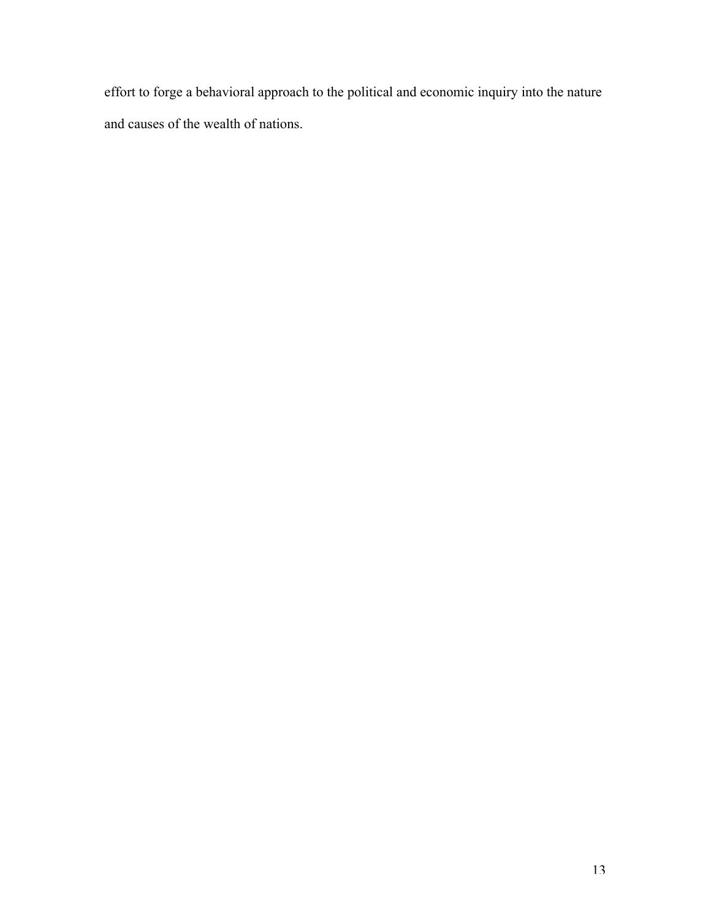effort to forge a behavioral approach to the political and economic inquiry into the nature and causes of the wealth of nations.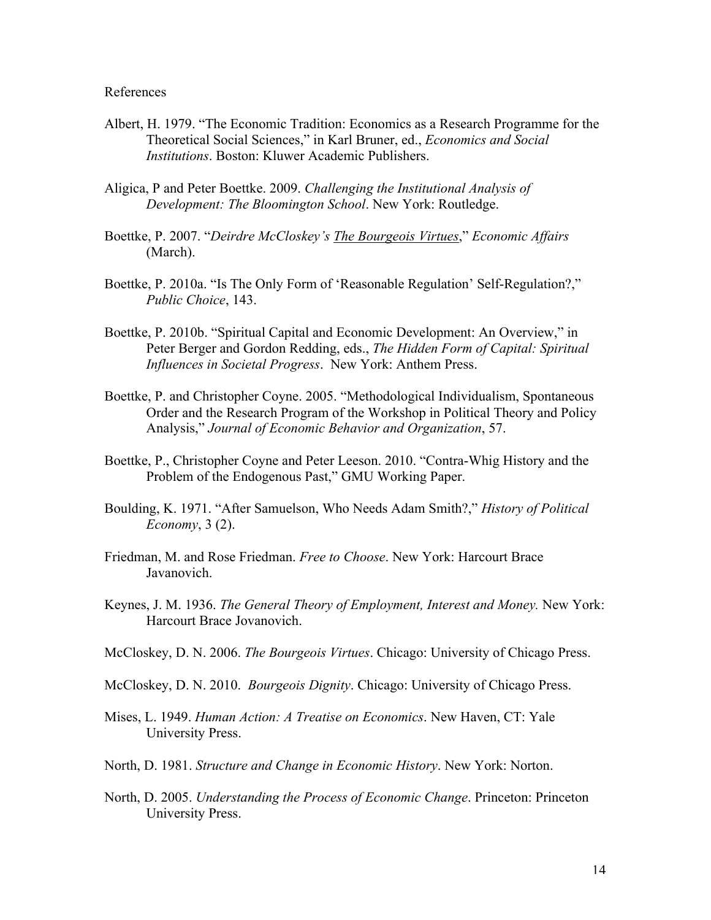References

- Albert, H. 1979. "The Economic Tradition: Economics as a Research Programme for the Theoretical Social Sciences," in Karl Bruner, ed., *Economics and Social Institutions*. Boston: Kluwer Academic Publishers.
- Aligica, P and Peter Boettke. 2009. *Challenging the Institutional Analysis of Development: The Bloomington School*. New York: Routledge.
- Boettke, P. 2007. "*Deirdre McCloskey's The Bourgeois Virtues*," *Economic Affairs* (March).
- Boettke, P. 2010a. "Is The Only Form of 'Reasonable Regulation' Self-Regulation?," *Public Choice*, 143.
- Boettke, P. 2010b. "Spiritual Capital and Economic Development: An Overview," in Peter Berger and Gordon Redding, eds., *The Hidden Form of Capital: Spiritual Influences in Societal Progress*. New York: Anthem Press.
- Boettke, P. and Christopher Coyne. 2005. "Methodological Individualism, Spontaneous Order and the Research Program of the Workshop in Political Theory and Policy Analysis," *Journal of Economic Behavior and Organization*, 57.
- Boettke, P., Christopher Coyne and Peter Leeson. 2010. "Contra-Whig History and the Problem of the Endogenous Past," GMU Working Paper.
- Boulding, K. 1971. "After Samuelson, Who Needs Adam Smith?," *History of Political Economy*, 3 (2).
- Friedman, M. and Rose Friedman. *Free to Choose*. New York: Harcourt Brace Javanovich.
- Keynes, J. M. 1936. *The General Theory of Employment, Interest and Money.* New York: Harcourt Brace Jovanovich.
- McCloskey, D. N. 2006. *The Bourgeois Virtues*. Chicago: University of Chicago Press.
- McCloskey, D. N. 2010. *Bourgeois Dignity*. Chicago: University of Chicago Press.
- Mises, L. 1949. *Human Action: A Treatise on Economics*. New Haven, CT: Yale University Press.
- North, D. 1981. *Structure and Change in Economic History*. New York: Norton.
- North, D. 2005. *Understanding the Process of Economic Change*. Princeton: Princeton University Press.